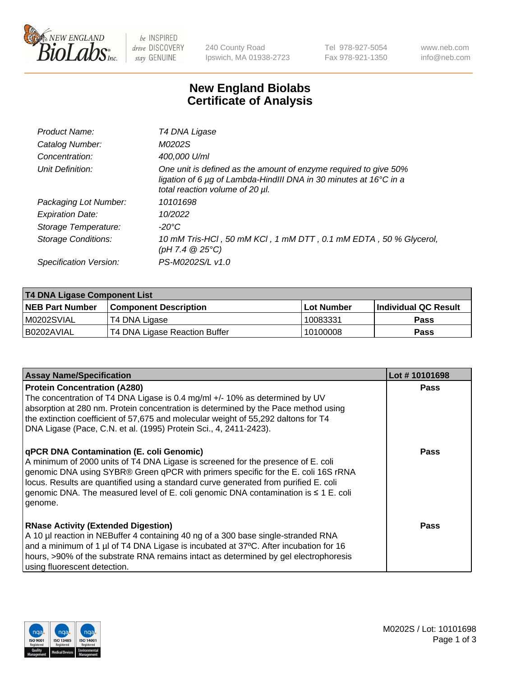

 $be$  INSPIRED drive DISCOVERY stay GENUINE

240 County Road Ipswich, MA 01938-2723 Tel 978-927-5054 Fax 978-921-1350 www.neb.com info@neb.com

## **New England Biolabs Certificate of Analysis**

| Product Name:           | T4 DNA Ligase                                                                                                                                                            |
|-------------------------|--------------------------------------------------------------------------------------------------------------------------------------------------------------------------|
| Catalog Number:         | M0202S                                                                                                                                                                   |
| Concentration:          | 400,000 U/ml                                                                                                                                                             |
| Unit Definition:        | One unit is defined as the amount of enzyme required to give 50%<br>ligation of 6 µg of Lambda-HindIII DNA in 30 minutes at 16°C in a<br>total reaction volume of 20 µl. |
| Packaging Lot Number:   | 10101698                                                                                                                                                                 |
| <b>Expiration Date:</b> | 10/2022                                                                                                                                                                  |
| Storage Temperature:    | $-20^{\circ}$ C                                                                                                                                                          |
| Storage Conditions:     | 10 mM Tris-HCl, 50 mM KCl, 1 mM DTT, 0.1 mM EDTA, 50 % Glycerol,<br>(pH 7.4 $@25°C$ )                                                                                    |
| Specification Version:  | PS-M0202S/L v1.0                                                                                                                                                         |

| T4 DNA Ligase Component List |                               |            |                             |  |  |
|------------------------------|-------------------------------|------------|-----------------------------|--|--|
| <b>NEB Part Number</b>       | <b>Component Description</b>  | Lot Number | <b>Individual QC Result</b> |  |  |
| M0202SVIAL                   | T4 DNA Ligase                 | 10083331   | <b>Pass</b>                 |  |  |
| I B0202AVIAL                 | T4 DNA Ligase Reaction Buffer | 10100008   | <b>Pass</b>                 |  |  |

| <b>Assay Name/Specification</b>                                                                                                                                                                                                                                                                                                                                                                             | Lot #10101698 |
|-------------------------------------------------------------------------------------------------------------------------------------------------------------------------------------------------------------------------------------------------------------------------------------------------------------------------------------------------------------------------------------------------------------|---------------|
| <b>Protein Concentration (A280)</b><br>The concentration of T4 DNA Ligase is 0.4 mg/ml +/- 10% as determined by UV<br>absorption at 280 nm. Protein concentration is determined by the Pace method using<br>the extinction coefficient of 57,675 and molecular weight of 55,292 daltons for T4<br>DNA Ligase (Pace, C.N. et al. (1995) Protein Sci., 4, 2411-2423).                                         | <b>Pass</b>   |
| qPCR DNA Contamination (E. coli Genomic)<br>A minimum of 2000 units of T4 DNA Ligase is screened for the presence of E. coli<br>genomic DNA using SYBR® Green qPCR with primers specific for the E. coli 16S rRNA<br>locus. Results are quantified using a standard curve generated from purified E. coli<br>genomic DNA. The measured level of E. coli genomic DNA contamination is ≤ 1 E. coli<br>genome. | Pass          |
| <b>RNase Activity (Extended Digestion)</b><br>A 10 µl reaction in NEBuffer 4 containing 40 ng of a 300 base single-stranded RNA<br>and a minimum of 1 µl of T4 DNA Ligase is incubated at 37°C. After incubation for 16<br>hours, >90% of the substrate RNA remains intact as determined by gel electrophoresis<br>using fluorescent detection.                                                             | Pass          |

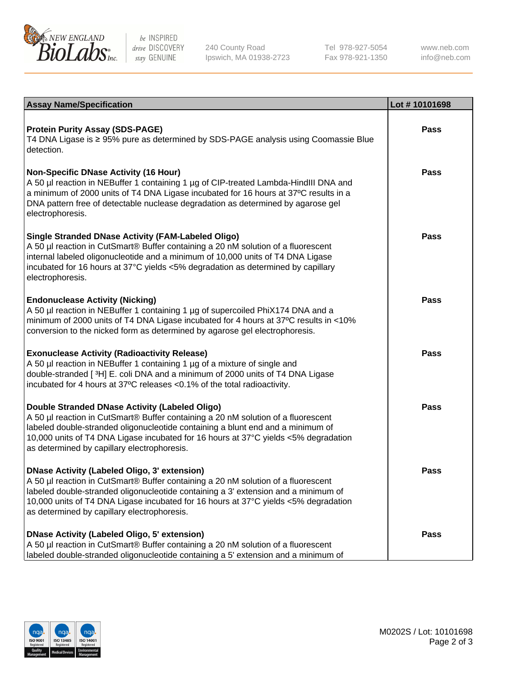

be INSPIRED drive DISCOVERY stay GENUINE

240 County Road Ipswich, MA 01938-2723 Tel 978-927-5054 Fax 978-921-1350

www.neb.com info@neb.com

| <b>Assay Name/Specification</b>                                                                                                                                                                                                                                                                                                                               | Lot #10101698 |
|---------------------------------------------------------------------------------------------------------------------------------------------------------------------------------------------------------------------------------------------------------------------------------------------------------------------------------------------------------------|---------------|
| <b>Protein Purity Assay (SDS-PAGE)</b><br>T4 DNA Ligase is ≥ 95% pure as determined by SDS-PAGE analysis using Coomassie Blue<br>detection.                                                                                                                                                                                                                   | <b>Pass</b>   |
| <b>Non-Specific DNase Activity (16 Hour)</b><br>A 50 µl reaction in NEBuffer 1 containing 1 µg of CIP-treated Lambda-HindIII DNA and<br>a minimum of 2000 units of T4 DNA Ligase incubated for 16 hours at 37°C results in a<br>DNA pattern free of detectable nuclease degradation as determined by agarose gel<br>electrophoresis.                          | <b>Pass</b>   |
| <b>Single Stranded DNase Activity (FAM-Labeled Oligo)</b><br>A 50 µl reaction in CutSmart® Buffer containing a 20 nM solution of a fluorescent<br>internal labeled oligonucleotide and a minimum of 10,000 units of T4 DNA Ligase<br>incubated for 16 hours at 37°C yields <5% degradation as determined by capillary<br>electrophoresis.                     | Pass          |
| <b>Endonuclease Activity (Nicking)</b><br>A 50 µl reaction in NEBuffer 1 containing 1 µg of supercoiled PhiX174 DNA and a<br>minimum of 2000 units of T4 DNA Ligase incubated for 4 hours at 37°C results in <10%<br>conversion to the nicked form as determined by agarose gel electrophoresis.                                                              | <b>Pass</b>   |
| <b>Exonuclease Activity (Radioactivity Release)</b><br>A 50 µl reaction in NEBuffer 1 containing 1 µg of a mixture of single and<br>double-stranded [3H] E. coli DNA and a minimum of 2000 units of T4 DNA Ligase<br>incubated for 4 hours at 37°C releases <0.1% of the total radioactivity.                                                                 | <b>Pass</b>   |
| Double Stranded DNase Activity (Labeled Oligo)<br>A 50 µl reaction in CutSmart® Buffer containing a 20 nM solution of a fluorescent<br>labeled double-stranded oligonucleotide containing a blunt end and a minimum of<br>10,000 units of T4 DNA Ligase incubated for 16 hours at 37°C yields <5% degradation<br>as determined by capillary electrophoresis.  | <b>Pass</b>   |
| DNase Activity (Labeled Oligo, 3' extension)<br>A 50 µl reaction in CutSmart® Buffer containing a 20 nM solution of a fluorescent<br>labeled double-stranded oligonucleotide containing a 3' extension and a minimum of<br>10,000 units of T4 DNA Ligase incubated for 16 hours at 37°C yields <5% degradation<br>as determined by capillary electrophoresis. | Pass          |
| DNase Activity (Labeled Oligo, 5' extension)<br>A 50 µl reaction in CutSmart® Buffer containing a 20 nM solution of a fluorescent<br>Iabeled double-stranded oligonucleotide containing a 5' extension and a minimum of                                                                                                                                       | <b>Pass</b>   |